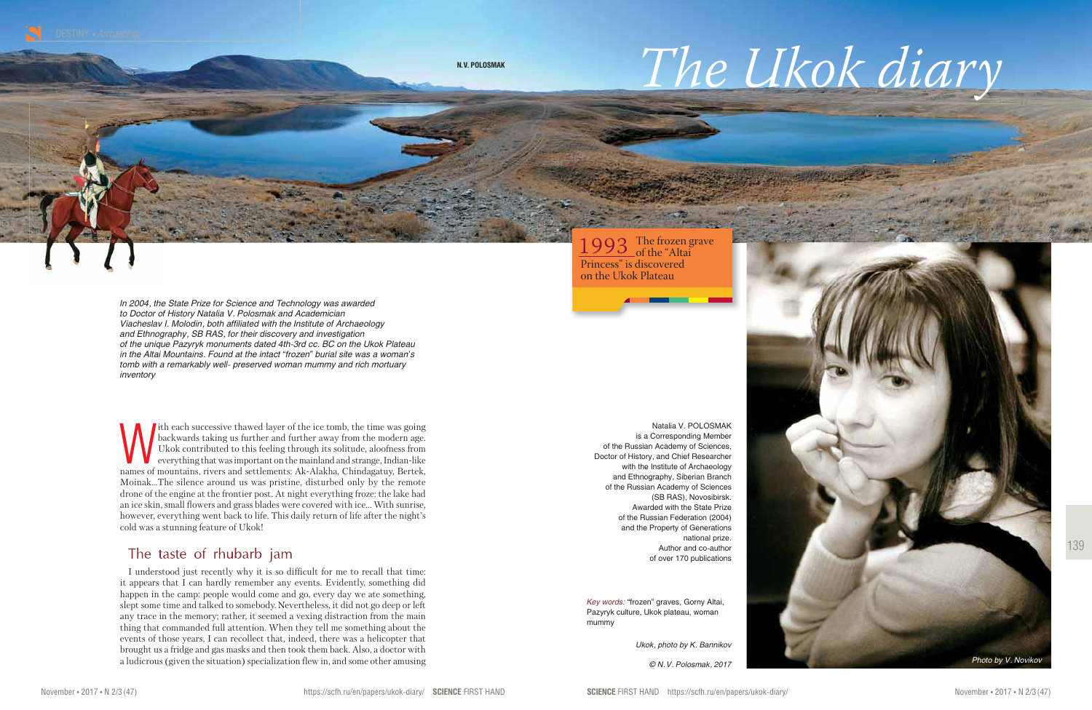139

*Key words:* "frozen" graves, Gorny Altai, Pazyryk culture, Ukok plateau, woman mummy

Natalia V. POLOSMAK is a Corresponding Member of the Russian Academy of Sciences, Doctor of History, and Chief Researcher with the Institute of Archaeology and Ethnography, Siberian Branch of the Russian Academy of Sciences (SB RAS), Novosibirsk. Awarded with the State Prize of the Russian Federation (2004) and the Property of Generations national prize. Author and co-author of over 170 publications



*Ukok, photo by K. Bannikov*





With each successive thawed layer of the ice tomb, the time was going<br>backwards taking us further and further away from the modern age.<br>Ukok contributed to this feeling through its solitude, aloofness from<br>everything that backwards taking us further and further away from the modern age. Ukok contributed to this feeling through its solitude, aloofness from everything that was important on the mainland and strange, Indian-like names of mountains, rivers and settlements: Ak-Alakha, Chindagatuy, Bertek, Moinak…The silence around us was pristine, disturbed only by the remote drone of the engine at the frontier post. At night everything froze: the lake had an ice skin, small flowers and grass blades were covered with ice… With sunrise, however, everything went back to life. This daily return of life after the night's cold was a stunning feature of Ukok!

## The taste of rhubarb jam

*In 2004, the State Prize for Science and Technology was awarded to Doctor of History Natalia V. Polosmak and Academician Viacheslav I. Molodin, both affiliated with the Institute of Archaeology and Ethnography, SB RAS, for their discovery and investigation of the unique Pazyryk monuments dated 4th-3rd cc. BC on the Ukok Plateau in the Altai Mountains. Found at the intact "frozen" burial site was a woman's tomb with a remarkably well- preserved woman mummy and rich mortuary inventory*



I understood just recently why it is so difficult for me to recall that time: it appears that I can hardly remember any events. Evidently, something did happen in the camp: people would come and go, every day we ate something, slept some time and talked to somebody. Nevertheless, it did not go deep or left any trace in the memory; rather, it seemed a vexing distraction from the main thing that commanded full attention. When they tell me something about the events of those years, I can recollect that, indeed, there was a helicopter that brought us a fridge and gas masks and then took them back. Also, a doctor with a ludicrous (given the situation) specialization flew in, and some other amusing *© N. V. Polosmak, 2017*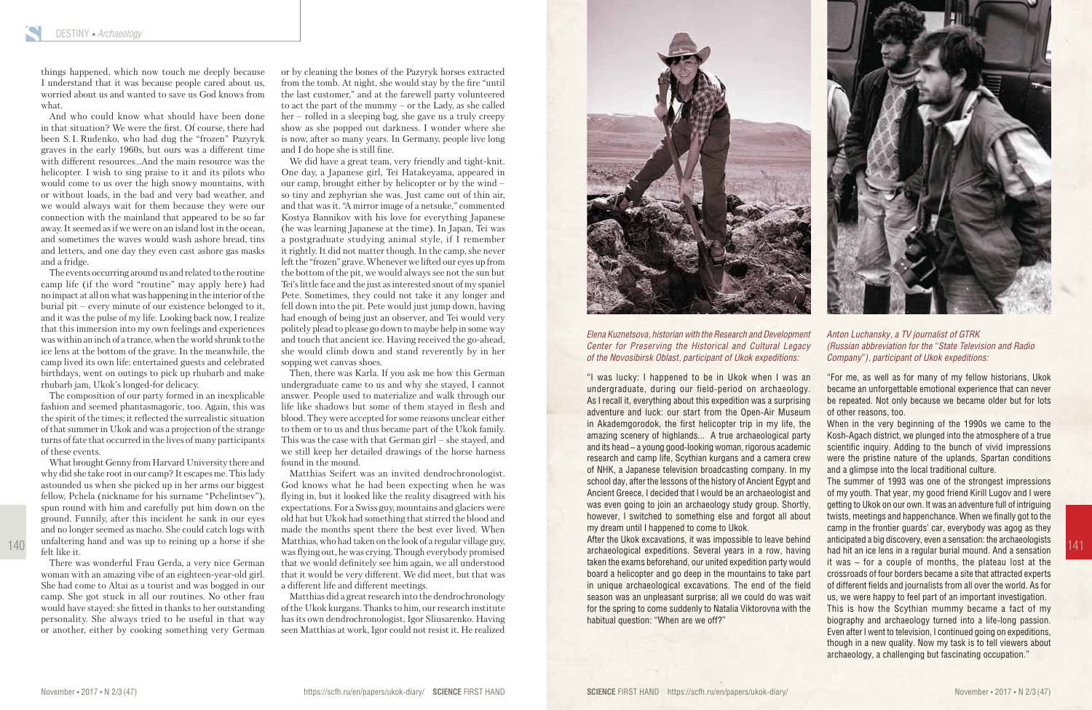140



## *Anton Luchansky, a TV journalist of GTRK (Russian abbreviation for the "State Television and Radio Company"), participant of Ukok expeditions:*

"For me, as well as for many of my fellow historians, Ukok became an unforgettable emotional experience that can never be repeated. Not only because we became older but for lots

of other reasons, too.

When in the very beginning of the 1990s we came to the Kosh-Agach district, we plunged into the atmosphere of a true scientific inquiry. Adding to the bunch of vivid impressions were the pristine nature of the uplands, Spartan conditions and a glimpse into the local traditional culture.

The summer of 1993 was one of the strongest impressions of my youth. That year, my good friend Kirill Lugov and I were getting to Ukok on our own. It was an adventure full of intriguing twists, meetings and happenchance. When we finally got to the camp in the frontier guards' car, everybody was agog as they anticipated a big discovery, even a sensation: the archaeologists had hit an ice lens in a regular burial mound. And a sensation it was – for a couple of months, the plateau lost at the crossroads of four borders became a site that attracted experts of different fields and journalists from all over the world. As for us, we were happy to feel part of an important investigation.

This is how the Scythian mummy became a fact of my biography and archaeology turned into a life-long passion. Even after I went to television, I continued going on expeditions, though in a new quality. Now my task is to tell viewers about archaeology, a challenging but fascinating occupation."

## *Elena Kuznetsova, historian with the Research and Development Center for Preserving the Historical and Cultural Legacy of the Novosibirsk Oblast, participant of Ukok expeditions:*

"I was lucky: I happened to be in Ukok when I was an undergraduate, during our field-period on archaeology. As I recall it, everything about this expedition was a surprising adventure and luck: our start from the Open-Air Museum in Akademgorodok, the first helicopter trip in my life, the amazing scenery of highlands... A true archaeological party and its head – a young good-looking woman, rigorous academic research and camp life, Scythian kurgans and a camera crew of NHK, a Japanese television broadcasting company. In my school day, after the lessons of the history of Ancient Egypt and Ancient Greece, I decided that I would be an archaeologist and was even going to join an archaeology study group. Shortly, however, I switched to something else and forgot all about my dream until I happened to come to Ukok.

After the Ukok excavations, it was impossible to leave behind archaeological expeditions. Several years in a row, having taken the exams beforehand, our united expedition party would board a helicopter and go deep in the mountains to take part in unique archaeological excavations. The end of the field season was an unpleasant surprise; all we could do was wait for the spring to come suddenly to Natalia Viktorovna with the habitual question: "When are we off?"

things happened, which now touch me deeply because I understand that it was because people cared about us, worried about us and wanted to save us God knows from what.

And who could know what should have been done in that situation? We were the first. Of course, there had been S. I. Rudenko, who had dug the "frozen" Pazyryk graves in the early 1960s, but ours was a different time with different resources…And the main resource was the helicopter. I wish to sing praise to it and its pilots who would come to us over the high snowy mountains, with or without loads, in the bad and very bad weather, and we would always wait for them because they were our connection with the mainland that appeared to be so far away. It seemed as if we were on an island lost in the ocean, and sometimes the waves would wash ashore bread, tins and letters, and one day they even cast ashore gas masks and a fridge.

The events occurring around us and related to the routine camp life (if the word "routine" may apply here) had no impact at all on what was happening in the interior of the burial pit – every minute of our existence belonged to it, and it was the pulse of my life. Looking back now, I realize that this immersion into my own feelings and experiences was within an inch of a trance, when the world shrunk to the ice lens at the bottom of the grave. In the meanwhile, the camp lived its own life: entertained guests and celebrated birthdays, went on outings to pick up rhubarb and make rhubarb jam, Ukok's longed-for delicacy.

The composition of our party formed in an inexplicable fashion and seemed phantasmagoric, too. Again, this was the spirit of the times; it reflected the surrealistic situation of that summer in Ukok and was a projection of the strange turns of fate that occurred in the lives of many participants of these events.

What brought Genny from Harvard University there and why did she take root in our camp? It escapes me. This lady astounded us when she picked up in her arms our biggest fellow, Pchela (nickname for his surname "Pchelintsev"), spun round with him and carefully put him down on the ground. Funnily, after this incident he sank in our eyes and no longer seemed as macho. She could catch logs with unfaltering hand and was up to reining up a horse if she felt like it.

There was wonderful Frau Gerda, a very nice German woman with an amazing vibe of an eighteen-year-old girl. She had come to Altai as a tourist and was bogged in our camp. She got stuck in all our routines. No other frau would have stayed: she fitted in thanks to her outstanding personality. She always tried to be useful in that way or another, either by cooking something very German or by cleaning the bones of the Pazyryk horses extracted from the tomb. At night, she would stay by the fire "until the last customer," and at the farewell party volunteered to act the part of the mummy – or the Lady, as she called her – rolled in a sleeping bag, she gave us a truly creepy show as she popped out darkness. I wonder where she is now, after so many years. In Germany, people live long and I do hope she is still fine.

We did have a great team, very friendly and tight-knit. One day, a Japanese girl, Tei Hatakeyama, appeared in our camp, brought either by helicopter or by the wind – so tiny and zephyrian she was. Just came out of thin air, and that was it. "A mirror image of a netsuke," commented Kostya Bannikov with his love for everything Japanese (he was learning Japanese at the time). In Japan, Tei was a postgraduate studying animal style, if I remember it rightly. It did not matter though. In the camp, she never left the "frozen" grave. Whenever we lifted our eyes up from the bottom of the pit, we would always see not the sun but Tei's little face and the just as interested snout of my spaniel Pete. Sometimes, they could not take it any longer and fell down into the pit. Pete would just jump down, having had enough of being just an observer, and Tei would very politely plead to please go down to maybe help in some way and touch that ancient ice. Having received the go-ahead, she would climb down and stand reverently by in her sopping wet canvas shoes.

Then, there was Karla. If you ask me how this German undergraduate came to us and why she stayed, I cannot answer. People used to materialize and walk through our life like shadows but some of them stayed in flesh and blood. They were accepted for some reasons unclear either to them or to us and thus became part of the Ukok family. This was the case with that German girl – she stayed, and we still keep her detailed drawings of the horse harness found in the mound.

Matthias Seifert was an invited dendrochronologist. God knows what he had been expecting when he was flying in, but it looked like the reality disagreed with his expectations. For a Swiss guy, mountains and glaciers were old hat but Ukok had something that stirred the blood and made the months spent there the best ever lived. When Matthias, who had taken on the look of a regular village guy, was flying out, he was crying. Though everybody promised that we would definitely see him again, we all understood that it would be very different. We did meet, but that was a different life and different meetings.

Matthias did a great research into the dendrochronology of the Ukok kurgans. Thanks to him, our research institute has its own dendrochronologist, Igor Sliusarenko. Having seen Matthias at work, Igor could not resist it. He realized



141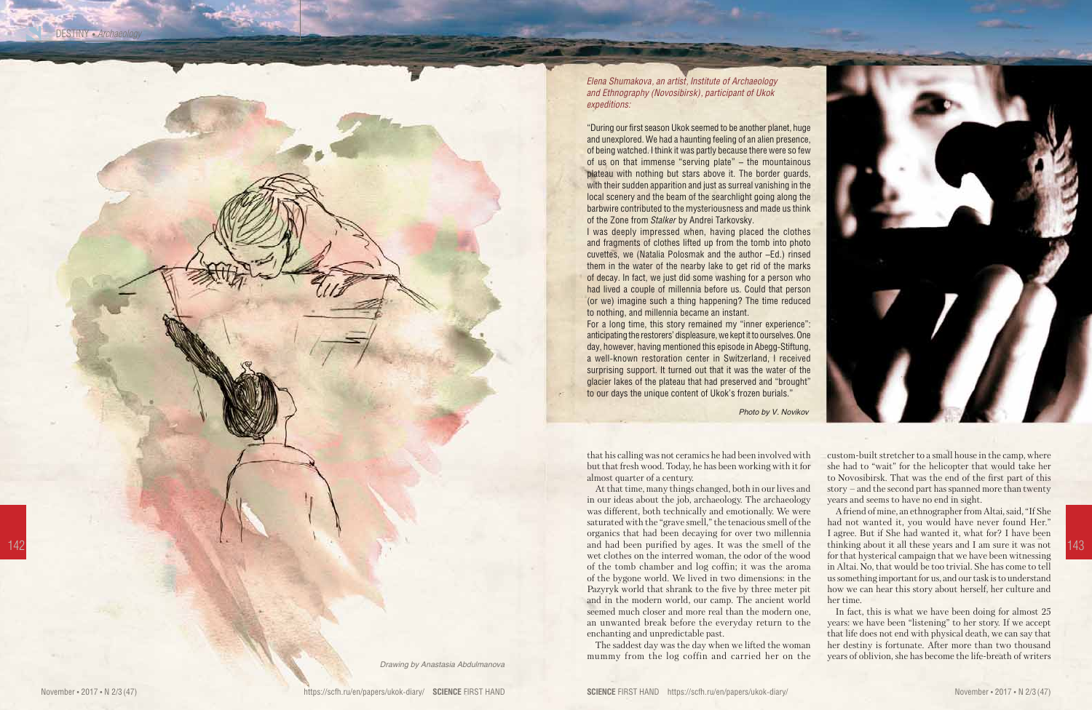that his calling was not ceramics he had been involved with but that fresh wood. Today, he has been working with it for almost quarter of a century.

At that time, many things changed, both in our lives and in our ideas about the job, archaeology. The archaeology was different, both technically and emotionally. We were saturated with the "grave smell," the tenacious smell of the organics that had been decaying for over two millennia and had been purified by ages. It was the smell of the thinking about it all these years and I am sure it was not 143 wet clothes on the interred woman, the odor of the wood of the tomb chamber and log coffin; it was the aroma of the bygone world. We lived in two dimensions: in the Pazyryk world that shrank to the five by three meter pit and in the modern world, our camp. The ancient world seemed much closer and more real than the modern one, an unwanted break before the everyday return to the enchanting and unpredictable past.

> The saddest day was the day when we lifted the woman mummy from the log coffin and carried her on the

custom-built stretcher to a small house in the camp, where she had to "wait" for the helicopter that would take her to Novosibirsk. That was the end of the first part of this story – and the second part has spanned more than twenty years and seems to have no end in sight.

A friend of mine, an ethnographer from Altai, said, "If She had not wanted it, you would have never found Her." I agree. But if She had wanted it, what for? I have been thinking about it all these years and I am sure it was not for that hysterical campaign that we have been witnessing in Altai. No, that would be too trivial. She has come to tell us something important for us, and our task is to understand how we can hear this story about herself, her culture and

her time.

In fact, this is what we have been doing for almost 25 years: we have been "listening" to her story. If we accept that life does not end with physical death, we can say that her destiny is fortunate. After more than two thousand years of oblivion, she has become the life-breath of writers

*Drawing by Anastasia Abdulmanova*



*Elena Shumakova, an artist, Institute of Archaeology and Ethnography (Novosibirsk), participant of Ukok expeditions:* 

"During our first season Ukok seemed to be another planet, huge and unexplored. We had a haunting feeling of an alien presence, of being watched. I think it was partly because there were so few of us on that immense "serving plate" – the mountainous plateau with nothing but stars above it. The border guards, with their sudden apparition and just as surreal vanishing in the local scenery and the beam of the searchlight going along the barbwire contributed to the mysteriousness and made us think of the Zone from *Stalker* by Andrei Tarkovsky.

I was deeply impressed when, having placed the clothes and fragments of clothes lifted up from the tomb into photo cuvettes, we (Natalia Polosmak and the author –Ed.) rinsed them in the water of the nearby lake to get rid of the marks of decay. In fact, we just did some washing for a person who had lived a couple of millennia before us. Could that person (or we) imagine such a thing happening? The time reduced to nothing, and millennia became an instant.

For a long time, this story remained my "inner experience": anticipating the restorers' displeasure, we kept it to ourselves. One day, however, having mentioned this episode in Abegg-Stiftung, a well-known restoration center in Switzerland, I received surprising support. It turned out that it was the water of the glacier lakes of the plateau that had preserved and "brought" to our days the unique content of Ukok's frozen burials."

*Photo by V. Novikov*

DESTINY • *Archaeology*